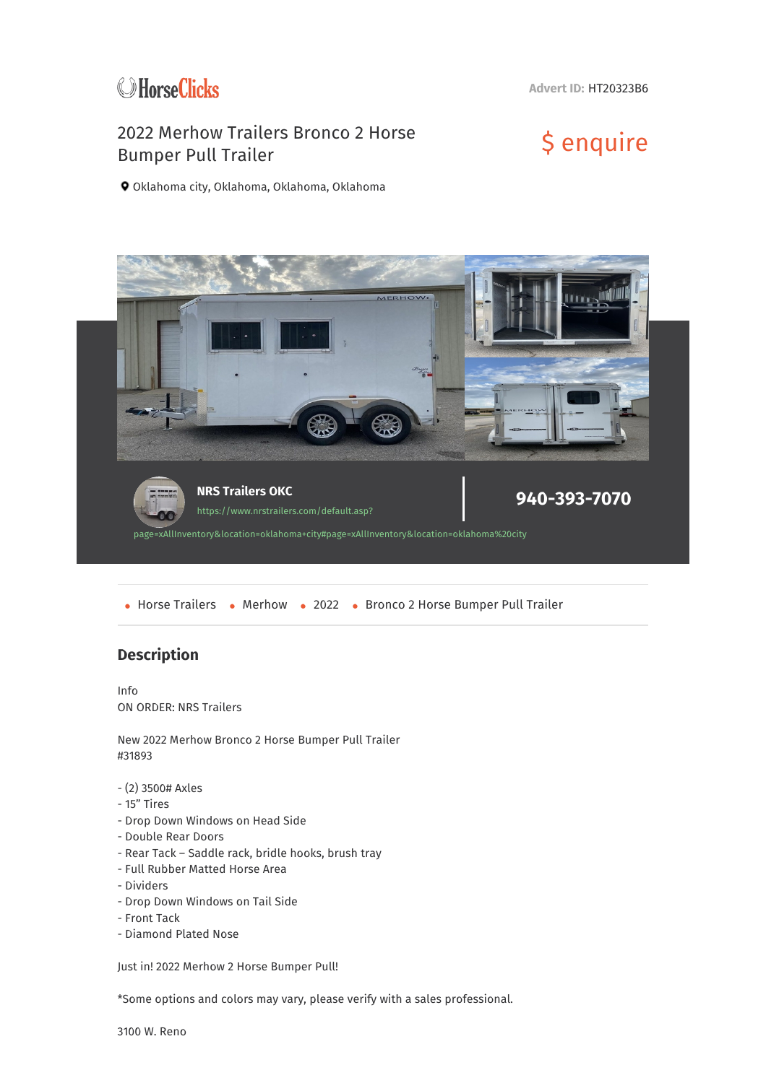

**Advert ID:** HT20323B6

## 2022 Merhow Trailers Bronco 2 Horse 2022 Merhow Trailers Bronco 2 Horse<br>Bumper Pull Trailer

Oklahoma city, Oklahoma, Oklahoma, Oklahoma



• Horse Trailers • Merhow • 2022 • Bronco 2 Horse Bumper Pull Trailer

## **Description**

Info ON ORDER: NRS Trailers

New 2022 Merhow Bronco 2 Horse Bumper Pull Trailer #31893

- (2) 3500# Axles
- 15" Tires
- Drop Down Windows on Head Side
- Double Rear Doors
- Rear Tack Saddle rack, bridle hooks, brush tray
- Full Rubber Matted Horse Area
- Dividers
- Drop Down Windows on Tail Side
- Front Tack
- Diamond Plated Nose

Just in! 2022 Merhow 2 Horse Bumper Pull!

\*Some options and colors may vary, please verify with a sales professional.

3100 W. Reno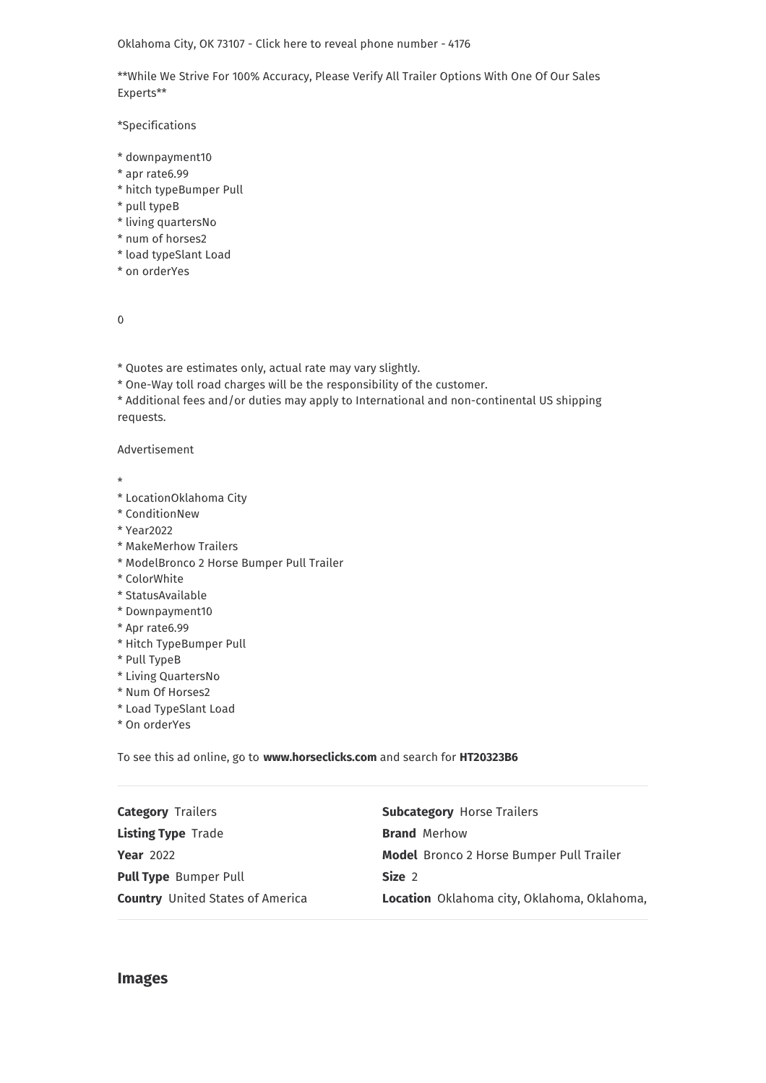Oklahoma City, OK 73107 - Click here to reveal phone number - 4176

\*\*While We Strive For 100% Accuracy, Please Verify All Trailer Options With One Of Our Sales Experts\*\*

\*Specifications

- \* downpayment10
- \* apr rate6.99
- \* hitch typeBumper Pull
- \* pull typeB
- \* living quartersNo
- \* num of horses2
- \* load typeSlant Load
- \* on orderYes

0

\* Quotes are estimates only, actual rate may vary slightly.

\* One-Way toll road charges will be the responsibility of the customer.

\* Additional fees and/or duties may apply to International and non-continental US shipping requests.

Advertisement

\*

- \* LocationOklahoma City
- \* ConditionNew
- \* Year2022
- \* MakeMerhow Trailers
- \* ModelBronco 2 Horse Bumper Pull Trailer
- \* ColorWhite
- \* StatusAvailable
- \* Downpayment10
- \* Apr rate6.99
- \* Hitch TypeBumper Pull
- \* Pull TypeB
- \* Living QuartersNo
- \* Num Of Horses2
- \* Load TypeSlant Load
- \* On orderYes

To see this ad online, go to **www.horseclicks.com** and search for **HT20323B6**

| <b>Category Trailers</b>                | <b>Subcategory Horse Trailers</b>               |
|-----------------------------------------|-------------------------------------------------|
| <b>Listing Type Trade</b>               | <b>Brand Merhow</b>                             |
| <b>Year 2022</b>                        | <b>Model</b> Bronco 2 Horse Bumper Pull Trailer |
| <b>Pull Type</b> Bumper Pull            | Size 2                                          |
| <b>Country</b> United States of America | Location Oklahoma city, Oklahoma, Oklahoma,     |
|                                         |                                                 |